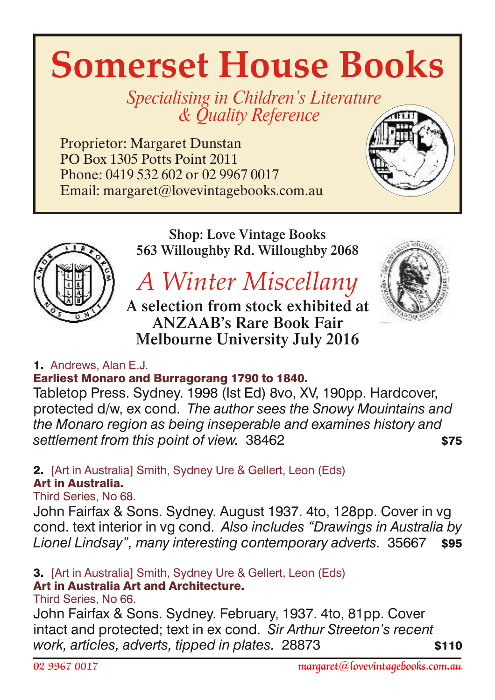# **Somerset House Books**

Specialising in Children's Literature & *Quality Reference* 

Proprietor: Margaret Dunstan PO Box 1305 Potts Point 2011 Phone: 0419 532 602 or 02 9967 0017 Email: margaret@lovevintagebooks.com.au





Shop: Love Vintage Books 563 Willoughby Rd. Willoughby 2068

## *A Winter Miscellany*

A selection from stock exhibited at ANZAAB's Rare Book Fair Melbourne University July 2016



## 1. Andrews, Alan E.J.

## Earliest Monaro and Burragorang 1790 to 1840.

Tabletop Press. Sydney. 1998 (Ist Ed) 8vo, XV, 190pp. Hardcover, protected d/w, ex cond. *The author sees the Snowy Mouintains and the Monaro region as being inseperable and examines history and* settlement from this point of view. 38462

#### 2. [Art in Australia] Smith, Sydney Ure & Gellert, Leon (Eds) Art in Australia.

Third Series, No 68.

John Fairfax & Sons. Sydney. August 1937. 4to, 128pp. Cover in vg cond. text interior in vg cond. *Also includes "Drawings in Australia by Lionel Lindsay", many interesting contemporary adverts.* 35667 \$95

#### 3. [Art in Australia] Smith, Sydney Ure & Gellert, Leon (Eds) Art in Australia Art and Architecture.

Third Series, No 66.

John Fairfax & Sons. Sydney. February, 1937. 4to, 81pp. Cover intact and protected; text in ex cond. *Sir Arthur Streeton's recent work, articles, adverts, tipped in plates, 28873* \$110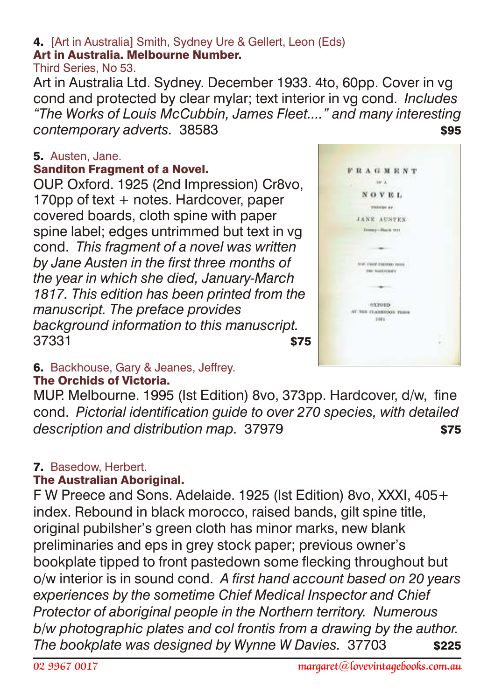#### 4. [Art in Australia] Smith, Sydney Ure & Gellert, Leon (Eds) Art in Australia. Melbourne Number.

Third Series, No 53.

Art in Australia Ltd. Sydney. December 1933. 4to, 60pp. Cover in vg cond and protected by clear mylar; text interior in vg cond. *Includes "The Works of Louis McCubbin, James Fleet...." and many interesting*  **contemporary adverts.** 38583 **\$95** 

## 5. Austen, Jane.

## Sanditon Fragment of a Novel.

OUP. Oxford. 1925 (2nd Impression) Cr8vo, 170pp of text + notes. Hardcover, paper covered boards, cloth spine with paper spine label; edges untrimmed but text in vg cond. *This fragment of a novel was written by Jane Austen in the first three months of the year in which she died, January-March 1817. This edition has been printed from the manuscript. The preface provides background information to this manuscript.* 37331 \$75



#### 6. Backhouse, Gary & Jeanes, Jeffrey. The Orchids of Victoria.

MUP. Melbourne. 1995 (Ist Edition) 8vo, 373pp. Hardcover, d/w, fine cond. *Pictorial identification guide to over 270 species, with detailed* description and distribution map. 37979 **\$75** 

## 7. Basedow, Herbert.

## **The Australian Aboriginal.**

F W Preece and Sons. Adelaide. 1925 (Ist Edition) 8vo, XXXI, 405+ index. Rebound in black morocco, raised bands, gilt spine title, original pubilsher's green cloth has minor marks, new blank preliminaries and eps in grey stock paper; previous owner's bookplate tipped to front pastedown some flecking throughout but o/w interior is in sound cond. *A first hand account based on 20 years experiences by the sometime Chief Medical Inspector and Chief Protector of aboriginal people in the Northern territory. Numerous b/w photographic plates and col frontis from a drawing by the author. The bookplate was designed by Wynne W Davies.* 37703 \$225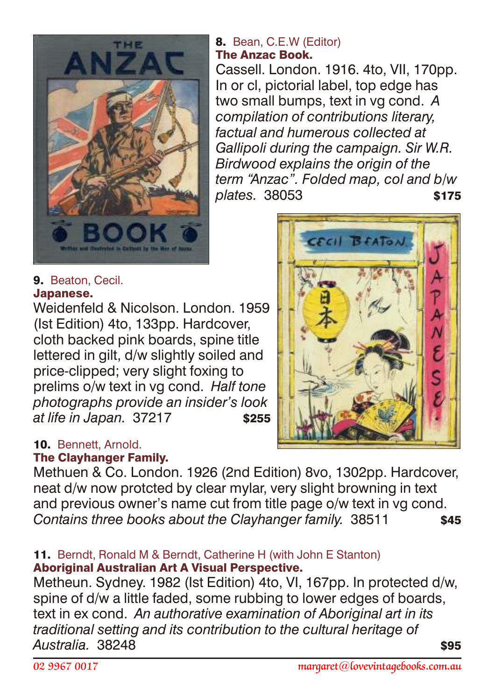

## 9. Beaton, Cecil. Japanese.

Weidenfeld & Nicolson. London. 1959 (Ist Edition) 4to, 133pp. Hardcover, cloth backed pink boards, spine title lettered in gilt, d/w slightly soiled and price-clipped; very slight foxing to prelims o/w text in vg cond. *Half tone photographs provide an insider's look at life in Japan.* 37217 \$255

## 8. Bean, C.E.W (Editor) The Anzac Book.

Cassell. London. 1916. 4to, VII, 170pp. In or cl, pictorial label, top edge has two small bumps, text in vg cond. *A compilation of contributions literary, factual and humerous collected at Gallipoli during the campaign. Sir W.R. Birdwood explains the origin of the term "Anzac". Folded map, col and b/w plates.* 38053 **\$175** 



## 10. Bennett, Arnold.

## **The Clayhanger Family.**

Methuen & Co. London. 1926 (2nd Edition) 8vo, 1302pp. Hardcover, neat d/w now protcted by clear mylar, very slight browning in text and previous owner's name cut from title page o/w text in vg cond. **Contains three books about the Clayhanger family.** 38511 \$45

## 11. Berndt, Ronald M & Berndt, Catherine H (with John E Stanton) Aboriginal Australian Art A Visual Perspective.

Metheun. Sydney. 1982 (Ist Edition) 4to, VI, 167pp. In protected d/w, spine of d/w a little faded, some rubbing to lower edges of boards, text in ex cond. *An authorative examination of Aboriginal art in its traditional setting and its contribution to the cultural heritage of Australia.* 38248 \$95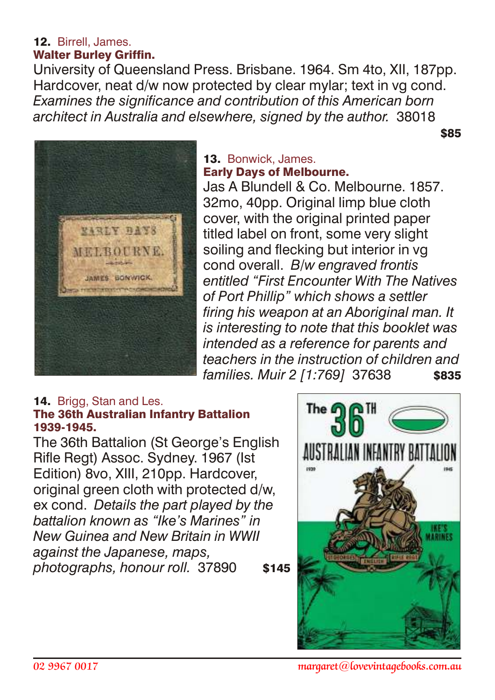#### 12. Birrell, James. Walter Burley Griffin.

University of Queensland Press. Brisbane. 1964. Sm 4to, XII, 187pp. Hardcover, neat d/w now protected by clear mylar; text in vg cond. *Examines the significance and contribution of this American born architect in Australia and elsewhere, signed by the author.* 38018

\$85



#### 13. Bonwick, James. Early Days of Melbourne.

Jas A Blundell & Co. Melbourne. 1857. 32mo, 40pp. Original limp blue cloth cover, with the original printed paper titled label on front, some very slight soiling and flecking but interior in vg cond overall. *B/w engraved frontis entitled "First Encounter With The Natives of Port Phillip" which shows a settler firing his weapon at an Aboriginal man. It is interesting to note that this booklet was intended as a reference for parents and teachers in the instruction of children and families. Muir 2 [1:769]* 37638 \$835

#### 14. Brigg, Stan and Les. The 36th Australian Infantry Battalion 1939-1945.

The 36th Battalion (St George's English Rifle Regt) Assoc. Sydney. 1967 (Ist Edition) 8vo, XIII, 210pp. Hardcover, original green cloth with protected d/w, ex cond. *Details the part played by the battalion known as "Ike's Marines" in New Guinea and New Britain in WWII against the Japanese, maps, photographs, honour roll.* 37890 \$145

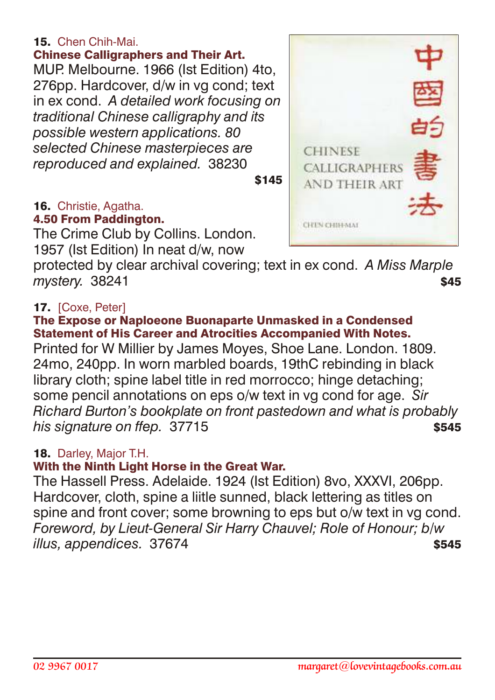## 15. Chen Chih-Mai.

Chinese Calligraphers and Their Art. MUP. Melbourne. 1966 (Ist Edition) 4to, 276pp. Hardcover, d/w in vg cond; text in ex cond. *A detailed work focusing on traditional Chinese calligraphy and its possible western applications. 80 selected Chinese masterpieces are reproduced and explained.* 38230

\$145

#### 16. Christie, Agatha. 4.50 From Paddington.

The Crime Club by Collins. London. 1957 (Ist Edition) In neat d/w, now

protected by clear archival covering; text in ex cond. *A Miss Marple* **mystery.** 38241 **\$45** 

## 17. [Coxe, Peter]

#### The Expose or Naploeone Buonaparte Unmasked in a Condensed Statement of His Career and Atrocities Accompanied With Notes.

Printed for W Millier by James Moyes, Shoe Lane. London. 1809. 24mo, 240pp. In worn marbled boards, 19thC rebinding in black library cloth; spine label title in red morrocco; hinge detaching; some pencil annotations on eps o/w text in vg cond for age. *Sir Richard Burton's bookplate on front pastedown and what is probably his signature on ffep.* 37715 **\$545** 

## 18. Darley, Major T.H.

## With the Ninth Light Horse in the Great War.

The Hassell Press. Adelaide. 1924 (Ist Edition) 8vo, XXXVI, 206pp. Hardcover, cloth, spine a liitle sunned, black lettering as titles on spine and front cover; some browning to eps but o/w text in vg cond. *Foreword, by Lieut-General Sir Harry Chauvel; Role of Honour; b/w illus, appendices.* 37674 **\$545** 

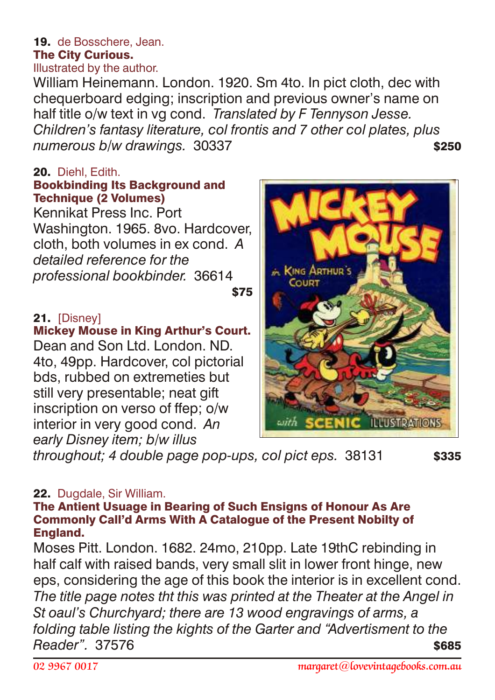#### 19. de Bosschere, Jean. The City Curious. Illustrated by the author.

William Heinemann. London. 1920. Sm 4to. In pict cloth, dec with chequerboard edging; inscription and previous owner's name on half title o/w text in vg cond. *Translated by F Tennyson Jesse. Children's fantasy literature, col frontis and 7 other col plates, plus* numerous b/w drawings. 30337 **\$250** 

## 20. Diehl, Edith.

#### Bookbinding Its Background and Technique (2 Volumes)

Kennikat Press Inc. Port Washington. 1965. 8vo. Hardcover, cloth, both volumes in ex cond. *A detailed reference for the professional bookbinder.* 36614

#### $$75$

## 21. [Disney]

## Mickey Mouse in King Arthur's Court.

Dean and Son Ltd. London. ND. 4to, 49pp. Hardcover, col pictorial bds, rubbed on extremeties but still very presentable; neat gift inscription on verso of ffep; o/w interior in very good cond. *An early Disney item; b/w illus*



throughout; 4 double page pop-ups, col pict eps. 38131 \$335

## 22. Dugdale, Sir William.

#### The Antient Usuage in Bearing of Such Ensigns of Honour As Are Commonly Call'd Arms With A Catalogue of the Present Nobilty of England.

Moses Pitt. London. 1682. 24mo, 210pp. Late 19thC rebinding in half calf with raised bands, very small slit in lower front hinge, new eps, considering the age of this book the interior is in excellent cond. *The title page notes tht this was printed at the Theater at the Angel in St oaul's Churchyard; there are 13 wood engravings of arms, a folding table listing the kights of the Garter and "Advertisment to the Reader"* 37576 **\$685**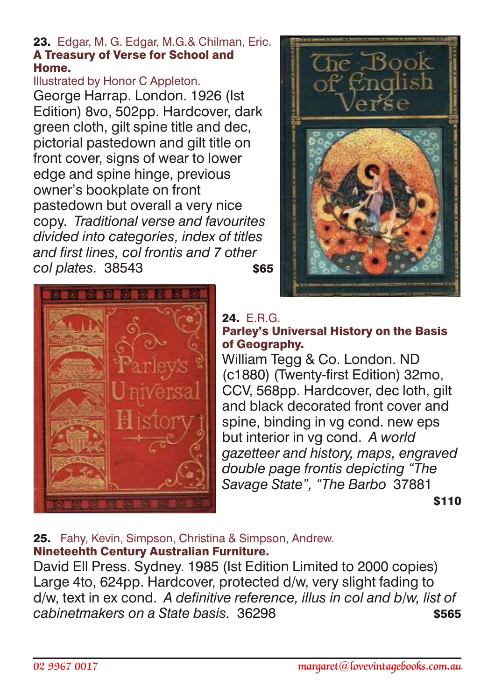#### 23. Edgar, M. G. Edgar, M.G.& Chilman, Eric. A Treasury of Verse for School and Home.

#### Illustrated by Honor C Appleton.

George Harrap. London. 1926 (Ist Edition) 8vo, 502pp. Hardcover, dark green cloth, gilt spine title and dec, pictorial pastedown and gilt title on front cover, signs of wear to lower edge and spine hinge, previous owner's bookplate on front pastedown but overall a very nice copy. *Traditional verse and favourites divided into categories, index of titles and first lines, col frontis and 7 other col plates.* 38543 \$65





## 24. FRG Parley's Universal History on the Basis

of Geography. William Tegg & Co. London. ND (c1880) (Twenty-first Edition) 32mo, CCV, 568pp. Hardcover, dec loth, gilt and black decorated front cover and spine, binding in vg cond. new eps but interior in vg cond. *A world gazetteer and history, maps, engraved double page frontis depicting "The Savage State", "The Barbo* 37881  $$110$ 

## 25. Fahy, Kevin, Simpson, Christina & Simpson, Andrew. Nineteehth Century Australian Furniture.

David Ell Press. Sydney. 1985 (Ist Edition Limited to 2000 copies) Large 4to, 624pp. Hardcover, protected d/w, very slight fading to d/w, text in ex cond. *A definitive reference, illus in col and b/w, list of cabinetmakers on a State basis.* 36298 **\$565**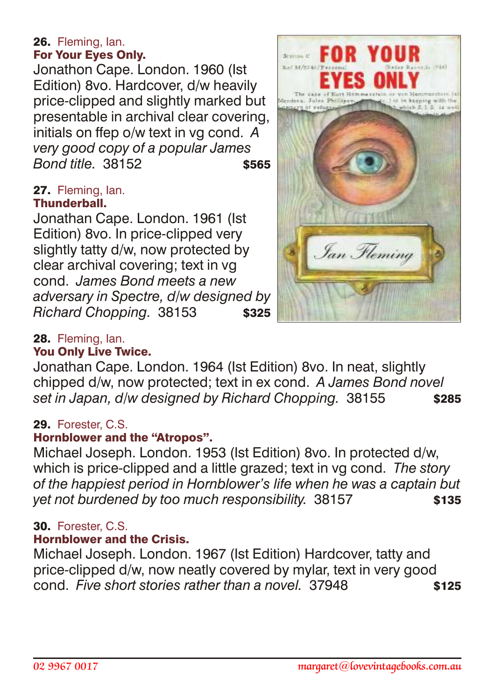#### 26. Fleming, Ian. For Your Eyes Only.

Jonathon Cape. London. 1960 (Ist Edition) 8vo. Hardcover, d/w heavily price-clipped and slightly marked but presentable in archival clear covering, initials on ffep o/w text in vg cond. *A very good copy of a popular James* **Bond title.** 38152 **\$565** 

#### 27. Fleming, Ian. Thunderball.

Jonathan Cape. London. 1961 (Ist Edition) 8vo. In price-clipped very slightly tatty d/w, now protected by clear archival covering; text in vg cond. *James Bond meets a new adversary in Spectre, d/w designed by*  Richard Chopping. 38153 **\$325** 



## 28. Fleming, Ian.

## You Only Live Twice.

Jonathan Cape. London. 1964 (Ist Edition) 8vo. In neat, slightly chipped d/w, now protected; text in ex cond. *A James Bond novel* set in Japan, d/w designed by Richard Chopping. 38155 \$285

## 29. Forester, C.S.

## Hornblower and the "Atropos".

Michael Joseph. London. 1953 (Ist Edition) 8vo. In protected d/w, which is price-clipped and a little grazed; text in vg cond. *The story of the happiest period in Hornblower's life when he was a captain but yet not burdened by too much responsibility.* 38157 \$135

## 30. Forester, C.S.

## Hornblower and the Crisis.

Michael Joseph. London. 1967 (Ist Edition) Hardcover, tatty and price-clipped d/w, now neatly covered by mylar, text in very good cond. *Five short stories rather than a novel.* 37948 \$125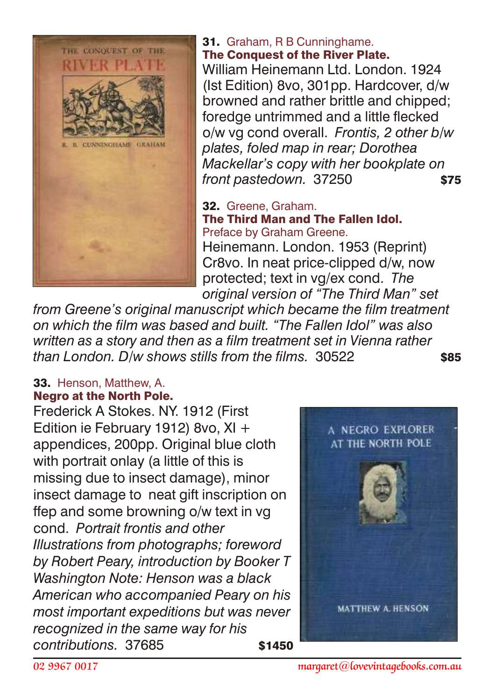

31. Graham, R B Cunninghame. The Conquest of the River Plate.

William Heinemann Ltd. London. 1924 (Ist Edition) 8vo, 301pp. Hardcover, d/w browned and rather brittle and chipped; foredge untrimmed and a little flecked o/w vg cond overall. *Frontis, 2 other b/w plates, foled map in rear; Dorothea Mackellar's copy with her bookplate on front pastedown.* 37250 **\$75** 

32. Greene, Graham. The Third Man and The Fallen Idol. Preface by Graham Greene. Heinemann. London. 1953 (Reprint) Cr8vo. In neat price-clipped d/w, now protected; text in vg/ex cond. *The original version of "The Third Man" set*

*from Greene's original manuscript which became the film treatment on which the film was based and built. "The Fallen Idol" was also written as a story and then as a film treatment set in Vienna rather than London. D/w shows stills from the films.* 30522 \$85

## 33. Henson, Matthew, A. Negro at the North Pole.

Frederick A Stokes. NY. 1912 (First Edition ie February 1912) 8vo, XI + appendices, 200pp. Original blue cloth with portrait onlay (a little of this is missing due to insect damage), minor insect damage to neat gift inscription on ffep and some browning o/w text in vg cond. *Portrait frontis and other Illustrations from photographs; foreword by Robert Peary, introduction by Booker T Washington Note: Henson was a black American who accompanied Peary on his most important expeditions but was never recognized in the same way for his contributions.* 37685 **\$1450** 

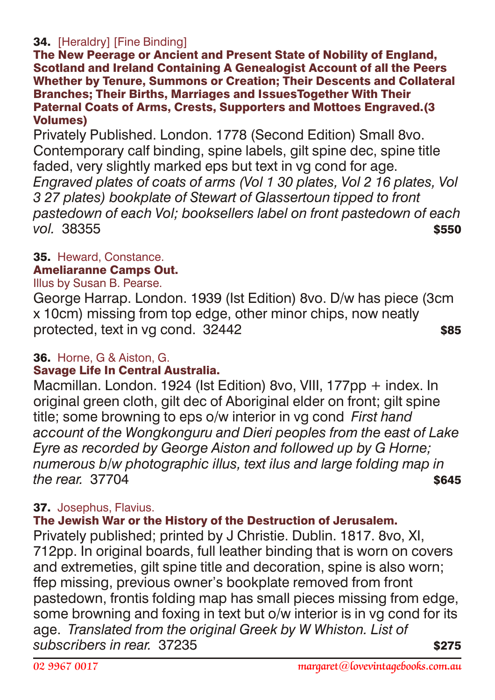## 34. [Heraldry] [Fine Binding]

The New Peerage or Ancient and Present State of Nobility of England, Scotland and Ireland Containing A Genealogist Account of all the Peers Whether by Tenure, Summons or Creation; Their Descents and Collateral Branches; Their Births, Marriages and IssuesTogether With Their Paternal Coats of Arms, Crests, Supporters and Mottoes Engraved.(3 Volumes)

Privately Published. London. 1778 (Second Edition) Small 8vo. Contemporary calf binding, spine labels, gilt spine dec, spine title faded, very slightly marked eps but text in vg cond for age. *Engraved plates of coats of arms (Vol 1 30 plates, Vol 2 16 plates, Vol 3 27 plates) bookplate of Stewart of Glassertoun tipped to front pastedown of each Vol; booksellers label on front pastedown of each vol.* 38355 \$550

## 35. Heward, Constance.

#### Ameliaranne Camps Out.

#### Illus by Susan B. Pearse.

George Harrap. London. 1939 (Ist Edition) 8vo. D/w has piece (3cm x 10cm) missing from top edge, other minor chips, now neatly protected, text in vg cond. 32442 \$85

## 36. Horne, G & Aiston, G.

## Savage Life In Central Australia.

Macmillan. London. 1924 (Ist Edition) 8vo. VIII, 177pp + index. In original green cloth, gilt dec of Aboriginal elder on front; gilt spine title; some browning to eps o/w interior in vg cond *First hand account of the Wongkonguru and Dieri peoples from the east of Lake Eyre as recorded by George Aiston and followed up by G Horne; numerous b/w photographic illus, text ilus and large folding map in the rear.* 37704 **\$645** 

## 37. Josephus, Flavius.

## The Jewish War or the History of the Destruction of Jerusalem.

Privately published; printed by J Christie. Dublin. 1817. 8vo, XI, 712pp. In original boards, full leather binding that is worn on covers and extremeties, gilt spine title and decoration, spine is also worn; ffep missing, previous owner's bookplate removed from front pastedown, frontis folding map has small pieces missing from edge, some browning and foxing in text but o/w interior is in vg cond for its age. *Translated from the original Greek by W Whiston. List of subscribers in rear.* 37235 \$275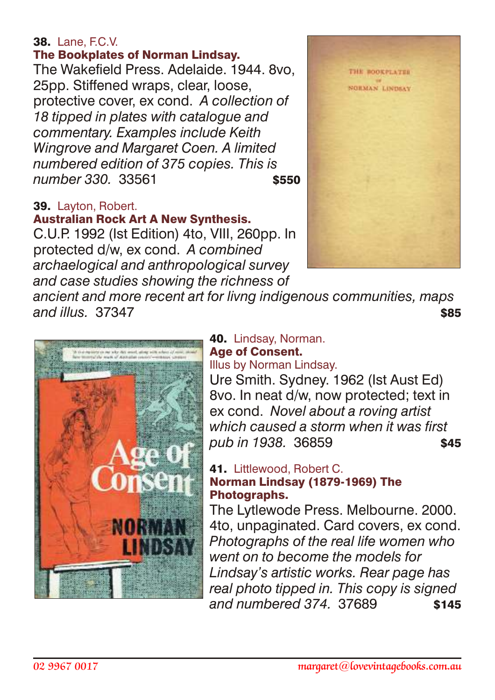## **38.** Lane, F.C.V.

## The Bookplates of Norman Lindsay.

The Wakefield Press. Adelaide. 1944. 8vo, 25pp. Stiffened wraps, clear, loose, protective cover, ex cond. *A collection of 18 tipped in plates with catalogue and commentary. Examples include Keith Wingrove and Margaret Coen. A limited numbered edition of 375 copies. This is number 330.* 33561 \$550

## 39. Layton, Robert.

## Australian Rock Art A New Synthesis.

C.U.P. 1992 (Ist Edition) 4to, VIII, 260pp. In protected d/w, ex cond. *A combined archaelogical and anthropological survey and case studies showing the richness of*



*ancient and more recent art for livng indigenous communities, maps and illus.* 37347 \$85



## 40. Lindsay, Norman. Age of Consent.

Illus by Norman Lindsay.

Ure Smith. Sydney. 1962 (Ist Aust Ed) 8vo. In neat d/w, now protected; text in ex cond. *Novel about a roving artist which caused a storm when it was first pub in 1938.* 36859 \$45

#### 41. Littlewood, Robert C. Norman Lindsay (1879-1969) The Photographs.

The Lytlewode Press. Melbourne. 2000. 4to, unpaginated. Card covers, ex cond. *Photographs of the real life women who went on to become the models for Lindsay's artistic works. Rear page has real photo tipped in. This copy is signed* and numbered 374, 37689 **\$145**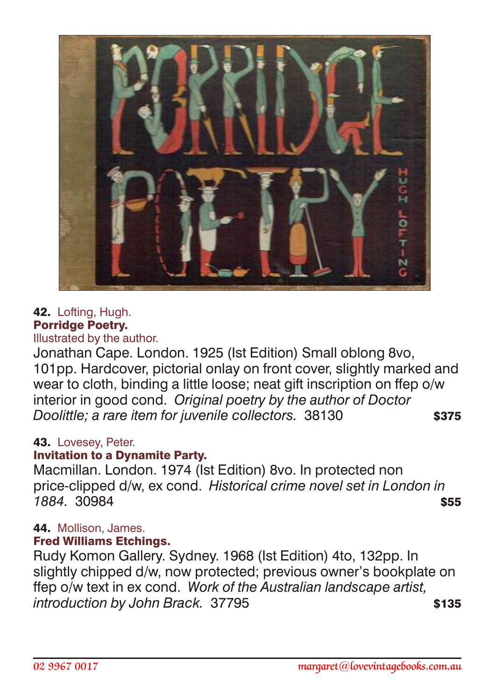

## 42. Lofting, Hugh. Porridge Poetry.

Illustrated by the author.

Jonathan Cape. London. 1925 (Ist Edition) Small oblong 8vo, 101pp. Hardcover, pictorial onlay on front cover, slightly marked and wear to cloth, binding a little loose; neat gift inscription on ffep o/w interior in good cond. *Original poetry by the author of Doctor Doolittle: a rare item for juvenile collectors.* 38130 **\$375** 

#### 43. Lovesey, Peter.

## Invitation to a Dynamite Party.

Macmillan. London. 1974 (Ist Edition) 8vo. In protected non price-clipped d/w, ex cond. *Historical crime novel set in London in* **1884.** 30984 **\$55.** 

## 44. Mollison, James.

## Fred Williams Etchings.

Rudy Komon Gallery. Sydney. 1968 (Ist Edition) 4to, 132pp. In slightly chipped d/w, now protected; previous owner's bookplate on ffep o/w text in ex cond. *Work of the Australian landscape artist, introduction by John Brack.* 37795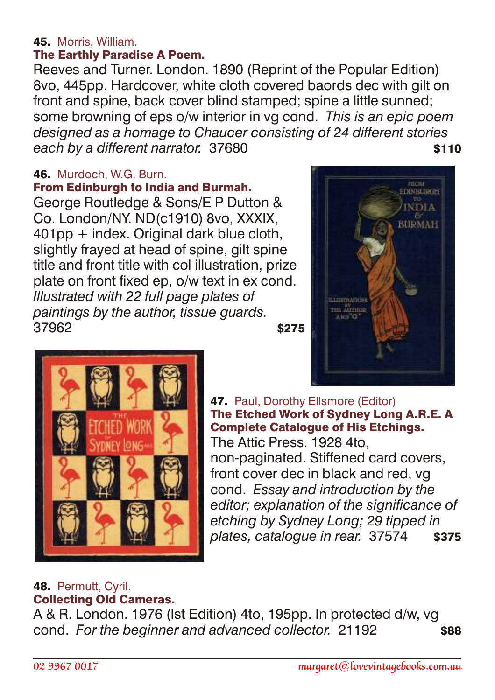## 45. Morris, William.

## The Earthly Paradise A Poem.

Reeves and Turner. London. 1890 (Reprint of the Popular Edition) 8vo, 445pp. Hardcover, white cloth covered baords dec with gilt on front and spine, back cover blind stamped; spine a little sunned; some browning of eps o/w interior in vg cond. *This is an epic poem designed as a homage to Chaucer consisting of 24 different stories* each by a different narrator. 37680

## 46. Murdoch, W.G. Burn.

## From Edinburgh to India and Burmah.

George Routledge & Sons/E P Dutton & Co. London/NY. ND(c1910) 8vo, XXXIX, 401pp + index. Original dark blue cloth, slightly frayed at head of spine, gilt spine title and front title with col illustration, prize plate on front fixed ep, o/w text in ex cond. *Illustrated with 22 full page plates of paintings by the author, tissue guards.*  $37962$   $$275$ 





47. Paul, Dorothy Ellsmore (Editor) The Etched Work of Sydney Long A.R.E. A Complete Catalogue of His Etchings. The Attic Press. 1928 4to, non-paginated. Stiffened card covers, front cover dec in black and red, vg cond. *Essay and introduction by the editor; explanation of the significance of etching by Sydney Long; 29 tipped in plates, catalogue in rear.* 37574 \$375

#### 48. Permutt, Cyril. Collecting Old Cameras.

A & R. London. 1976 (Ist Edition) 4to, 195pp. In protected d/w, vg cond. *For the beginner and advanced collector.* 21192 \$88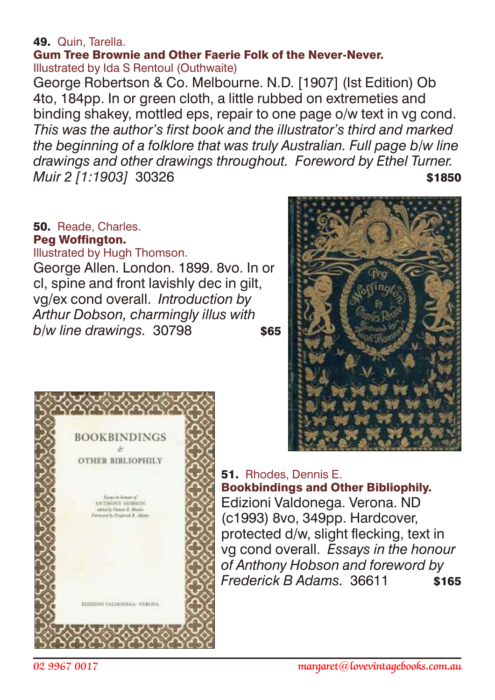## 49. Quin, Tarella.

Gum Tree Brownie and Other Faerie Folk of the Never-Never. Illustrated by Ida S Rentoul (Outhwaite)

George Robertson & Co. Melbourne. N.D. [1907] (Ist Edition) Ob 4to, 184pp. In or green cloth, a little rubbed on extremeties and binding shakey, mottled eps, repair to one page o/w text in vg cond. *This was the author's first book and the illustrator's third and marked the beginning of a folklore that was truly Australian. Full page b/w line drawings and other drawings throughout. Foreword by Ethel Turner. Muir 2 [1:1903]* 30326 **\$1850** 

## 50. Reade, Charles. Peg Woffington.

Illustrated by Hugh Thomson.

George Allen. London. 1899. 8vo. In or cl, spine and front lavishly dec in gilt, vg/ex cond overall. *Introduction by Arthur Dobson, charmingly illus with b/w line drawings.* 30798 **\$65** 



## 51. Rhodes, Dennis E.

Bookbindings and Other Bibliophily. Edizioni Valdonega. Verona. ND (c1993) 8vo, 349pp. Hardcover, protected d/w, slight flecking, text in vg cond overall. *Essays in the honour of Anthony Hobson and foreword by Frederick B Adams.* 36611 \$165

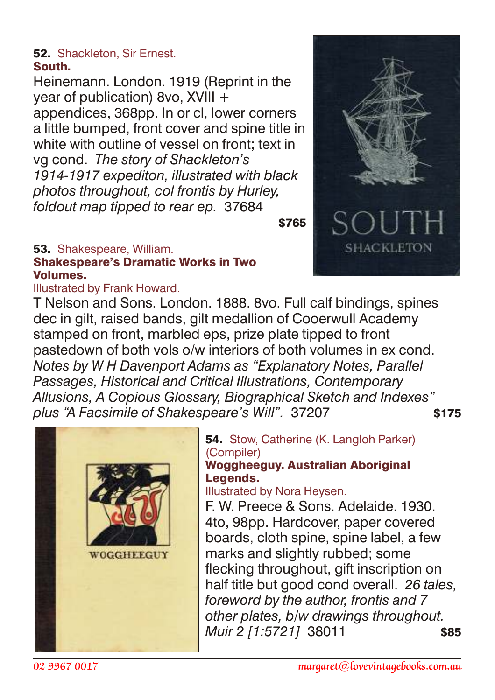#### 52. Shackleton, Sir Ernest. South.

Heinemann. London. 1919 (Reprint in the year of publication) 8vo, XVIII + appendices, 368pp. In or cl, lower corners a little bumped, front cover and spine title in white with outline of vessel on front; text in vg cond. *The story of Shackleton's 1914-1917 expediton, illustrated with black photos throughout, col frontis by Hurley, foldout map tipped to rear ep.* 37684

 $$765$ 

#### 53. Shakespeare, William. Shakespeare's Dramatic Works in Two Volumes.

Illustrated by Frank Howard.

T Nelson and Sons. London. 1888. 8vo. Full calf bindings, spines dec in gilt, raised bands, gilt medallion of Cooerwull Academy stamped on front, marbled eps, prize plate tipped to front pastedown of both vols o/w interiors of both volumes in ex cond. *Notes by W H Davenport Adams as "Explanatory Notes, Parallel Passages, Historical and Critical Illustrations, Contemporary Allusions, A Copious Glossary, Biographical Sketch and Indexes"* plus "A Facsimile of Shakespeare's Will". 37207 \$175



**54.** Stow, Catherine (K. Langloh Parker) (Compiler)

#### Woggheeguy. Australian Aboriginal Legends.

Illustrated by Nora Heysen.

F. W. Preece & Sons. Adelaide. 1930. 4to, 98pp. Hardcover, paper covered boards, cloth spine, spine label, a few marks and slightly rubbed; some flecking throughout, gift inscription on half title but good cond overall. *26 tales, foreword by the author, frontis and 7 other plates, b/w drawings throughout. Muir 2 [1:5721]* 38011 \$85

**SHACKLETON**